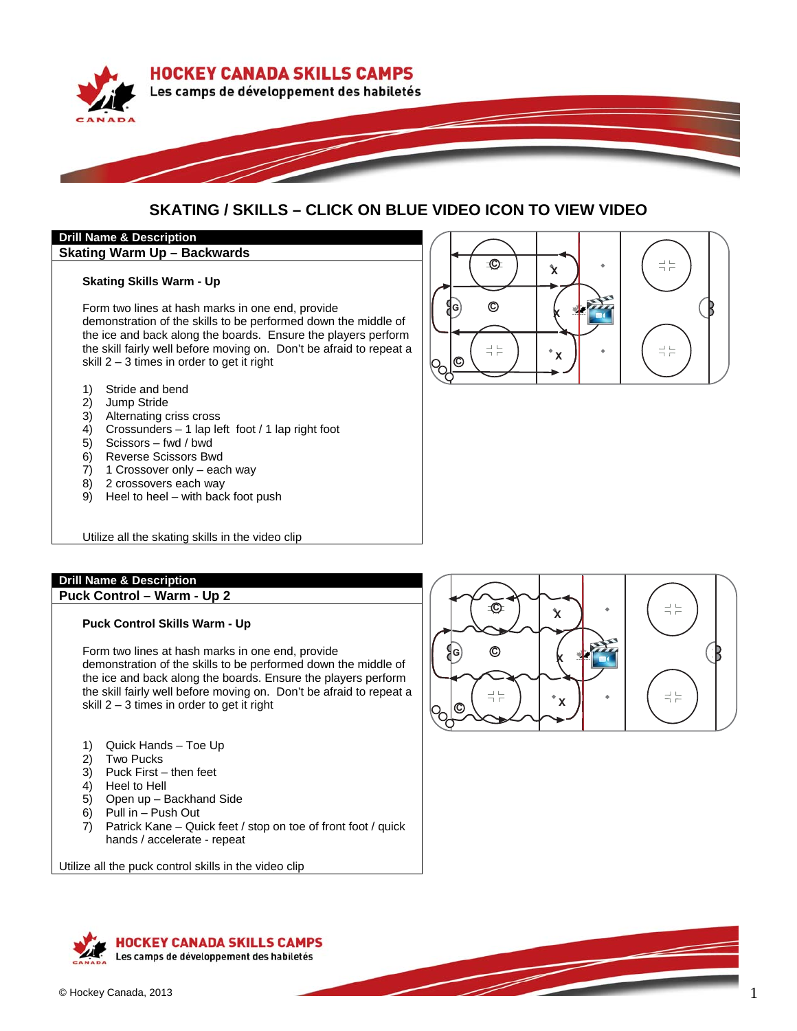

# **SKATING / SKILLS – CLICK ON BLUE VIDEO ICON TO VIEW VIDEO**

**-**

k

R

 $\frac{1}{1}$  $\frac{1}{1}$ 

 $\mathbf{\hat{x}}$ 

**-**

o<br>Po

G,

**-**

# **Drill Name & Description**

**Skating Warm Up – Backwards** 

#### **Skating Skills Warm - Up**

Form two lines at hash marks in one end, provide demonstration of the skills to be performed down the middle of the ice and back along the boards. Ensure the players perform the skill fairly well before moving on. Don't be afraid to repeat a skill 2 – 3 times in order to get it right

- 1) Stride and bend
- 2) Jump Stride
- 3) Alternating criss cross
- 4) Crossunders 1 lap left foot / 1 lap right foot
- 5) Scissors fwd / bwd
- 6) Reverse Scissors Bwd
- 7) 1 Crossover only each way
- 8) 2 crossovers each way
- 9) Heel to heel with back foot push

Utilize all the skating skills in the video clip

# **Drill Name & Description**

**Puck Control – Warm - Up 2** 

## **Puck Control Skills Warm - Up**

Form two lines at hash marks in one end, provide demonstration of the skills to be performed down the middle of the ice and back along the boards. Ensure the players perform the skill fairly well before moving on. Don't be afraid to repeat a skill 2 – 3 times in order to get it right

- 1) Quick Hands Toe Up
- 2) Two Pucks
- 3) Puck First then feet
- 4) Heel to Hell
- 5) Open up Backhand Side
- 6) Pull in Push Out
- 7) Patrick Kane Quick feet / stop on toe of front foot / quick hands / accelerate - repeat

Utilize all the puck control skills in the video clip



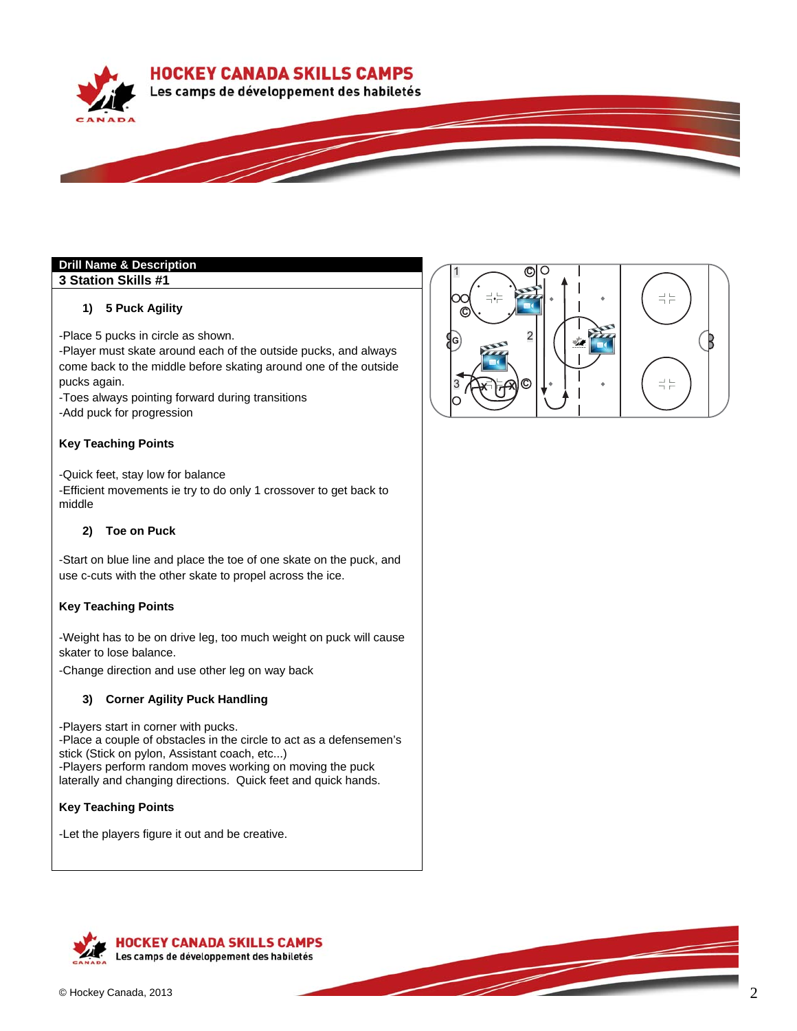**HOCKEY CANADA SKILLS CAMPS** 



## **Drill Name & Description**

## **3 Station Skills #1**

## **1) 5 Puck Agility**

-Place 5 pucks in circle as shown.

-Player must skate around each of the outside pucks, and always come back to the middle before skating around one of the outside pucks again.

-Toes always pointing forward during transitions

-Add puck for progression

## **Key Teaching Points**

-Quick feet, stay low for balance

-Efficient movements ie try to do only 1 crossover to get back to middle

## **2) Toe on Puck**

-Start on blue line and place the toe of one skate on the puck, and use c-cuts with the other skate to propel across the ice.

#### **Key Teaching Points**

-Weight has to be on drive leg, too much weight on puck will cause skater to lose balance.

-Change direction and use other leg on way back

## **3) Corner Agility Puck Handling**

-Players start in corner with pucks. -Place a couple of obstacles in the circle to act as a defensemen's stick (Stick on pylon, Assistant coach, etc...) -Players perform random moves working on moving the puck laterally and changing directions. Quick feet and quick hands.

## **Key Teaching Points**

-Let the players figure it out and be creative.